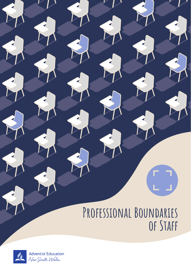# **Professional Boundaries of Staff**

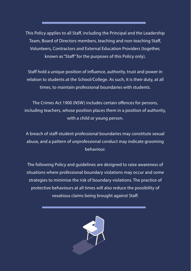This Policy applies to all Staff, including the Principal and the Leadership Team, Board of Directors members, teaching and non-teaching Staff, Volunteers, Contractors and External Education Providers (together, known as "Staff" for the purposes of this Policy only).

Staff hold a unique position of influence, authority, trust and power in relation to students at the School/College. As such, it is their duty, at all times, to maintain professional boundaries with students.

The Crimes Act 1900 (NSW) includes certain offences for persons, including teachers, whose position places them in a position of authority, with a child or young person.

A breach of staff-student professional boundaries may constitute sexual abuse, and a pattern of unprofessional conduct may indicate grooming behaviour.

The following Policy and guidelines are designed to raise awareness of situations where professional boundary violations may occur and some strategies to minimise the risk of boundary violations. The practice of protective behaviours at all times will also reduce the possibility of vexatious claims being brought against Staff.

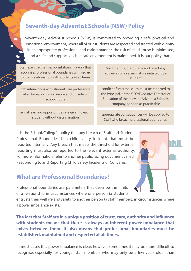#### Seventh-day Adventist Schools (NSW) Policy

Seventh-day Adventist Schools (NSW) is committed to providing a safe physical and emotional environment, where all of our students are respected and treated with dignity in an appropriate professional and caring manner, the risk of child abuse is minimised, and a safe and supportive child safe environment is maintained. It is our policy that:

Staff exercise their responsibilities in a way that recognises professional boundaries with regard to their relationships with students at all times

Staff interactions with students are professional at all times, including inside and outside of school hours

equal learning opportunities are given to each

Staff identify, discourage and reject any advances of a sexual nature initiated by a student

conflict of interest issues must be reported to the Principal, or the CEO/Executive Director of Education of the relevant Adventist Schools company, as soon as practicable

student without discrimination appropriate consequences will be applied to Staff who breach professional boundaries.

It is the School/College's policy that any breach of Staff and Student Professional Boundaries is a child safety incident that must be reported internally. Any breach that meets the threshold for external reporting must also be reported to the relevant external authority. For more information, refer to another public facing document called Responding to and Reporting Child Safety Incidents or Concerns.

#### What are Professional Boundaries?

Professional boundaries are parameters that describe the limits of a relationship in circumstances where one person (a student)

entrusts their welfare and safety to another person (a staff member), in circumstances where a power imbalance exists.

**The fact that Staff are in a unique position of trust, care, authority and influence with students means that there is always an inherent power imbalance that exists between them. It also means that professional boundaries must be established, maintained and respected at all times.**

In most cases this power imbalance is clear, however sometimes it may be more difficult to recognise, especially for younger staff members who may only be a few years older than

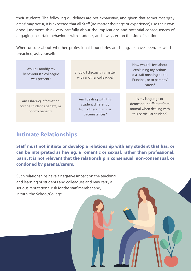their students. The following guidelines are not exhaustive, and given that sometimes 'grey areas' may occur, it is expected that all Staff (no matter their age or experience) use their own good judgment, think very carefully about the implications and potential consequences of engaging in certain behaviours with students, and always err on the side of caution.

When unsure about whether professional boundaries are being, or have been, or will be breached, ask yourself:

| Would I modify my<br>behaviour if a colleague<br>was present?                | Should I discuss this matter<br>with another colleague?                                   | How would I feel about<br>explaining my actions<br>at a staff meeting, to the<br>Principal, or to parents/<br>carers? |
|------------------------------------------------------------------------------|-------------------------------------------------------------------------------------------|-----------------------------------------------------------------------------------------------------------------------|
| Am I sharing information<br>for the student's benefit, or<br>for my benefit? | Am I dealing with this<br>student differently<br>from others in similar<br>circumstances? | Is my language or<br>demeanour different from<br>normal when dealing with<br>this particular student?                 |

#### Intimate Relationships

**Staff must not initiate or develop a relationship with any student that has, or can be interpreted as having, a romantic or sexual, rather than professional, basis. It is not relevant that the relationship is consensual, non-consensual, or condoned by parents/carers.**

Such relationships have a negative impact on the teaching and learning of students and colleagues and may carry a serious reputational risk for the staff member and, in turn, the School/College.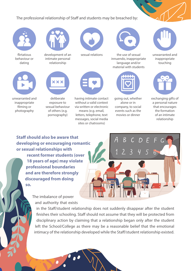The professional relationship of Staff and students may be breached by:



flirtatious behaviour or dating

unwarranted and inappropriate filming or photography



development of an intimate personal relationship



deliberate exposure to sexual behaviour of others (e.g. pornography)



sexual relations



having intimate contact without a valid context via written or electronic means (e.g. email, letters, telephone, text messages, social media sites or chatrooms)



the use of sexual innuendo, inappropriate language and/or material with students



going out, whether alone or in company, to social events such as the movies or dinner



unwarranted and inappropriate touching



exchanging gifts of a personal nature that encourages the formation of an intimate relationship

**Staff should also be aware that developing or encouraging romantic or sexual relationships with recent former students (over 18 years of age) may violate professional boundaries and are therefore strongly discouraged from doing so.**

> The imbalance of power and authority that exists



in the Staff/student relationship does not suddenly disappear after the student finishes their schooling. Staff should not assume that they will be protected from disciplinary action by claiming that a relationship began only after the student left the School/College as there may be a reasonable belief that the emotional intimacy of the relationship developed while the Staff/student relationship existed.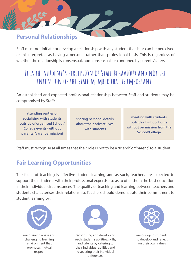#### Personal Relationships

Staff must not initiate or develop a relationship with any student that is or can be perceived or misinterpreted as having a personal rather than professional basis. This is regardless of whether the relationship is consensual, non-consensual, or condoned by parents/carers.

## **It is the student's perception of Staff behaviour and not the intention of the staff member that is important.**

An established and expected professional relationship between Staff and students may be compromised by Staff:

**attending parties or socialising with students outside of organised School/ College events (without parental/carer permission)**

**sharing personal details about their private lives with students**

**meeting with students outside of school hours without permission from the School/College**

Staff must recognise at all times that their role is not to be a "friend" or "parent" to a student.

#### Fair Learning Opportunities

The focus of teaching is effective student learning and as such, teachers are expected to support their students with their professional expertise so as to offer them the best education in their individual circumstances. The quality of teaching and learning between teachers and students characterises their relationship. Teachers should demonstrate their commitment to student learning by:



maintaining a safe and challenging learning environment that promotes mutual respect



recognising and developing each student's abilities, skills, and talents by catering to their individual abilities and respecting their individual differences



encouraging students to develop and reflect on their own values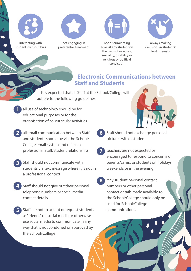

interacting with students without bias



not engaging in preferential treatment



not discriminating against any student on the basis of race, sex, sexuality, disability or religious or political conviction



 always making decisions in students' best interests

#### Electronic Communications between Staff and Students

It is expected that all Staff at the School/College will adhere to the following guidelines:

6

- all use of technology should be for educational purposes or for the organisation of co-curricular activities 1
- all email communication between Staff and students should be via the School/ College email system and reflect a professional Staff/student relationship 2
- Staff should not communicate with students via text message where it is not in a professional context 3
- Staff should not give out their personal telephone numbers or social media contact details 4
- Staff are not to accept or request students as "friends" on social media or otherwise use social media to communicate in any way that is not condoned or approved by the School/College 5



- Staff should not exchange personal pictures with a student
- teachers are not expected or encouraged to respond to concerns of parents/carers or students on holidays, weekends or in the evening 7
- 8 any student personal contact numbers or other personal contact details made available to the School/College should only be used for School/College communications.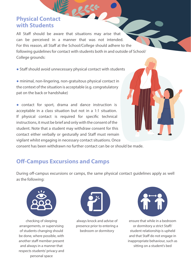#### Physical Contact with Students

All Staff should be aware that situations may arise that can be perceived in a manner that was not intended. For this reason, all Staff at the School/College should adhere to the following guidelines for contact with students both in and outside of School/ College grounds:

● Staff should avoid unnecessary physical contact with students

● minimal, non-lingering, non-gratuitous physical contact in the context of the situation is acceptable (e.g. congratulatory pat on the back or handshake)

● contact for sport, drama and dance instruction is acceptable in a class situation but not in a 1:1 situation. If physical contact is required for specific technical instructions, it must be brief and only with the consent of the student. Note that a student may withdraw consent for this contact either verbally or gesturally and Staff must remain vigilant whilst engaging in necessary contact situations. Once

consent has been withdrawn no further contact can be or should be made.

#### Off-Campus Excursions and Camps

During off-campus excursions or camps, the same physical contact guidelines apply as well as the following:



checking of sleeping arrangements, or supervising of students changing should be done, where possible, with another staff member present and always in a manner that respects students' privacy and personal space



always knock and advise of presence prior to entering a bedroom or dormitory



ensure that while in a bedroom or dormitory a strict Staff/ student relationship is upheld and that Staff do not engage in inappropriate behaviour, such as sitting on a student's bed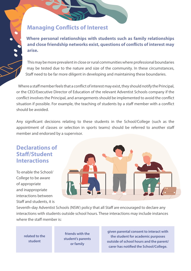#### **Managing Conflicts of Interest**

**Where personal relationships with students such as family relationships**  and close friendship networks exist, questions of conflicts of interest may **arise.**

This may be more prevalent in close or rural communities where professional boundaries may be tested due to the nature and size of the community. In these circumstances, Staff need to be far more diligent in developing and maintaining these boundaries.

Where a staff member feels that a conflict of interest may exist, they should notify the Principal, or the CEO/Executive Director of Education of the relevant Adventist Schools company if the conflict involves the Principal, and arrangements should be implemented to avoid the conflict situation if possible. For example, the teaching of students by a staff member with a conflict should be avoided.

Any significant decisions relating to these students in the School/College (such as the appointment of classes or selection in sports teams) should be referred to another staff member and endorsed by a supervisor.

#### Declarations of Staff /Student Interactions

To enable the School/ College to be aware of appropriate and inappropriate interactions between Staff and students, it is



Seventh-day Adventist Schools (NSW) policy that all Staff are encouraged to declare any interactions with students outside school hours. These interactions may include instances where the staff member is:

**related to the student**

**friends with the student's parents or family**

**given parental consent to interact with the student for academic purposes outside of school hours and the parent/** carer has notified the School/College.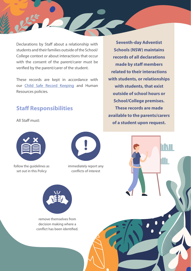Declarations by Staff about a relationship with students and their families outside of the School/ College context or about interactions that occur with the consent of the parent/carer must be verified by the parent/carer of the student.

These records are kept in accordance with our Child Safe Record Keeping and Human Resources policies.

#### Staff Responsibilities

All Staff must:



follow the guidelines as set out in this Policy



immediately report any conflicts of interest



remove themselves from decision making where a conflict has been identified.

**Seventh-day Adventist Schools (NSW) maintains records of all declarations made by staff members related to their interactions with students, or relationships with students, that exist outside of school hours or School/College premises. These records are made available to the parents/carers of a student upon request.**

**TNT**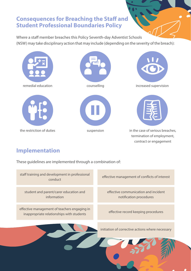#### Consequences for Breaching the Staff and Student Professional Boundaries Policy

Where a staff member breaches this Policy Seventh-day Adventist Schools (NSW) may take disciplinary action that may include (depending on the severity of the breach):











remedial education increased supervision increased supervision



the restriction of duties suspension in the case of serious breaches, termination of employment, contract or engagement

### Implementation

These guidelines are implemented through a combination of:

staff training and development in professional revelopment in professional effective management of conflicts of interest<br>conduct effective communication and incident notification procedures effective record keeping procedures initiation of corrective actions where necessary effective management of teachers engaging in inappropriate relationships with students student and parent/carer education and information